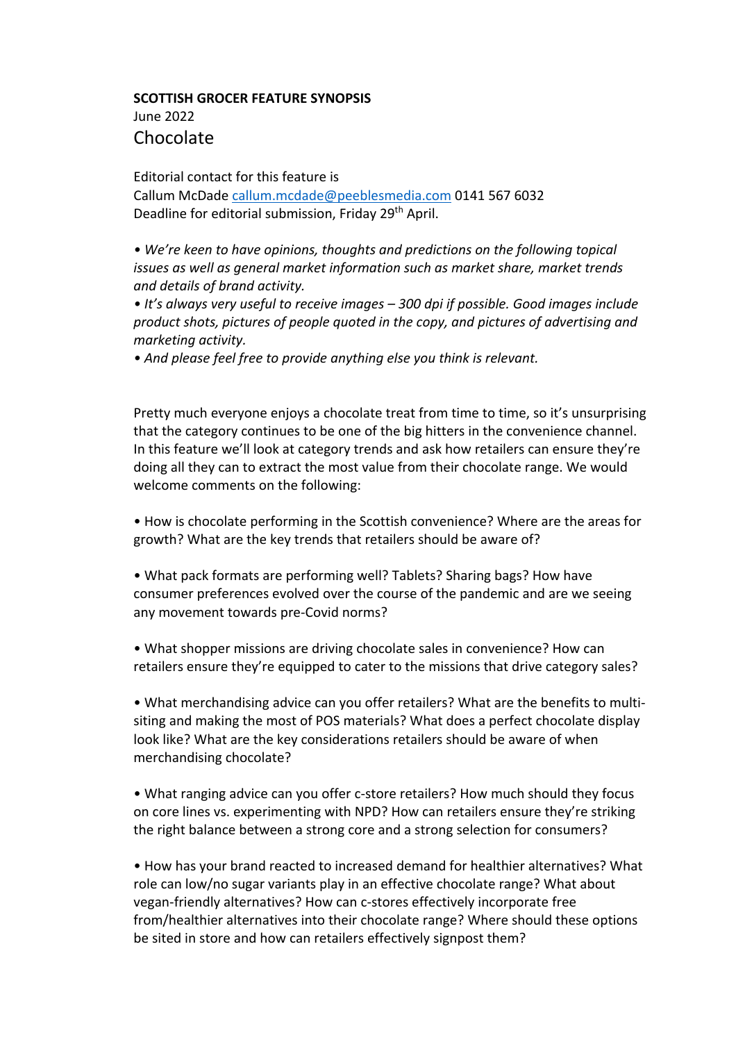## **SCOTTISH GROCER FEATURE SYNOPSIS** June 2022 Chocolate

Editorial contact for this feature is

Callum McDade callum.mcdade@peeblesmedia.com 0141 567 6032 Deadline for editorial submission, Friday 29<sup>th</sup> April.

*• We're keen to have opinions, thoughts and predictions on the following topical issues as well as general market information such as market share, market trends and details of brand activity.*

*• It's always very useful to receive images – 300 dpi if possible. Good images include product shots, pictures of people quoted in the copy, and pictures of advertising and marketing activity.*

*• And please feel free to provide anything else you think is relevant.*

Pretty much everyone enjoys a chocolate treat from time to time, so it's unsurprising that the category continues to be one of the big hitters in the convenience channel. In this feature we'll look at category trends and ask how retailers can ensure they're doing all they can to extract the most value from their chocolate range. We would welcome comments on the following:

• How is chocolate performing in the Scottish convenience? Where are the areas for growth? What are the key trends that retailers should be aware of?

• What pack formats are performing well? Tablets? Sharing bags? How have consumer preferences evolved over the course of the pandemic and are we seeing any movement towards pre-Covid norms?

• What shopper missions are driving chocolate sales in convenience? How can retailers ensure they're equipped to cater to the missions that drive category sales?

• What merchandising advice can you offer retailers? What are the benefits to multisiting and making the most of POS materials? What does a perfect chocolate display look like? What are the key considerations retailers should be aware of when merchandising chocolate?

• What ranging advice can you offer c-store retailers? How much should they focus on core lines vs. experimenting with NPD? How can retailers ensure they're striking the right balance between a strong core and a strong selection for consumers?

• How has your brand reacted to increased demand for healthier alternatives? What role can low/no sugar variants play in an effective chocolate range? What about vegan-friendly alternatives? How can c-stores effectively incorporate free from/healthier alternatives into their chocolate range? Where should these options be sited in store and how can retailers effectively signpost them?